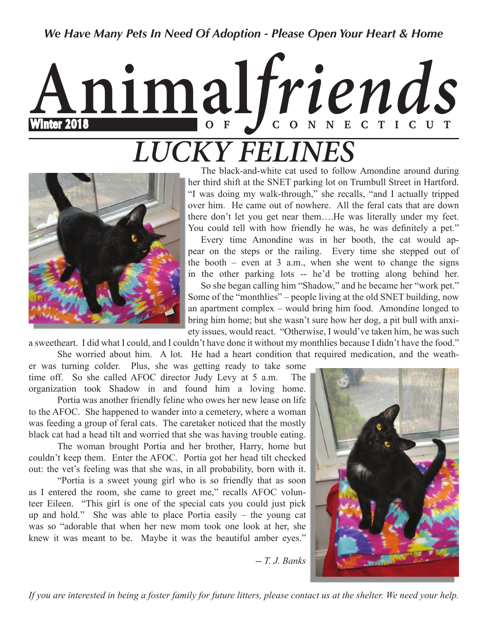### *We Have Many Pets In Need Of Adoption - Please Open Your Heart & Home*

# **Animal***friends* Winter 2018 **O F C O N N E C T I C U T** *LUCKY FELINES*



 The black-and-white cat used to follow Amondine around during her third shift at the SNET parking lot on Trumbull Street in Hartford. "I was doing my walk-through," she recalls, "and I actually tripped over him. He came out of nowhere. All the feral cats that are down there don't let you get near them….He was literally under my feet. You could tell with how friendly he was, he was definitely a pet."

 Every time Amondine was in her booth, the cat would appear on the steps or the railing. Every time she stepped out of the booth – even at 3 a.m., when she went to change the signs in the other parking lots -- he'd be trotting along behind her.

 So she began calling him "Shadow," and he became her "work pet." Some of the "monthlies" – people living at the old SNET building, now an apartment complex – would bring him food. Amondine longed to bring him home; but she wasn't sure how her dog, a pit bull with anxiety issues, would react. "Otherwise, I would've taken him, he was such

a sweetheart. I did what I could, and I couldn't have done it without my monthlies because I didn't have the food."

She worried about him. A lot. He had a heart condition that required medication, and the weath-

er was turning colder. Plus, she was getting ready to take some time off. So she called AFOC director Judy Levy at 5 a.m. The organization took Shadow in and found him a loving home.

Portia was another friendly feline who owes her new lease on life to the AFOC. She happened to wander into a cemetery, where a woman was feeding a group of feral cats. The caretaker noticed that the mostly black cat had a head tilt and worried that she was having trouble eating.

The woman brought Portia and her brother, Harry, home but couldn't keep them. Enter the AFOC. Portia got her head tilt checked out: the vet's feeling was that she was, in all probability, born with it.

"Portia is a sweet young girl who is so friendly that as soon as I entered the room, she came to greet me," recalls AFOC volunteer Eileen. "This girl is one of the special cats you could just pick up and hold." She was able to place Portia easily – the young cat was so "adorable that when her new mom took one look at her, she knew it was meant to be. Maybe it was the beautiful amber eyes."



-- *T. J. Banks* 

*If you are interested in being a foster family for future litters, please contact us at the shelter. We need your help.*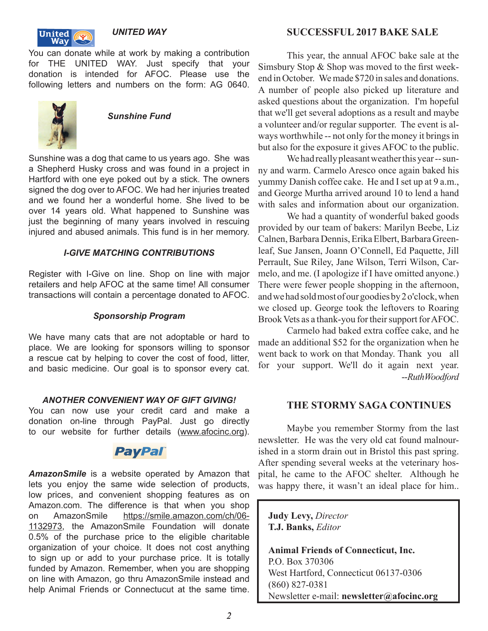

*UNITED WAY*

You can donate while at work by making a contribution for THE UNITED WAY. Just specify that your donation is intended for AFOC. Please use the following letters and numbers on the form: AG 0640.



*Sunshine Fund*

Sunshine was a dog that came to us years ago. She was a Shepherd Husky cross and was found in a project in Hartford with one eye poked out by a stick. The owners signed the dog over to AFOC. We had her injuries treated and we found her a wonderful home. She lived to be over 14 years old. What happened to Sunshine was just the beginning of many years involved in rescuing injured and abused animals. This fund is in her memory.

#### *I-GIVE MATCHING CONTRIBUTIONS*

Register with I-Give on line. Shop on line with major retailers and help AFOC at the same time! All consumer transactions will contain a percentage donated to AFOC.

#### *Sponsorship Program*

We have many cats that are not adoptable or hard to place. We are looking for sponsors willing to sponsor a rescue cat by helping to cover the cost of food, litter, and basic medicine. Our goal is to sponsor every cat.

#### *ANOTHER CONVENIENT WAY OF GIFT GIVING!*

You can now use your credit card and make a donation on-line through PayPal. Just go directly to our website for further details (www.afocinc.org).

# **PayPal**

*AmazonSmile* is a website operated by Amazon that lets you enjoy the same wide selection of products, low prices, and convenient shopping features as on Amazon.com. The difference is that when you shop on AmazonSmile https://smile.amazon.com/ch/06- 1132973, the AmazonSmile Foundation will donate 0.5% of the purchase price to the eligible charitable organization of your choice. It does not cost anything to sign up or add to your purchase price. It is totally funded by Amazon. Remember, when you are shopping on line with Amazon, go thru AmazonSmile instead and help Animal Friends or Connectucut at the same time.

#### **SUCCESSFUL 2017 BAKE SALE**

This year, the annual AFOC bake sale at the Simsbury Stop  $&$  Shop was moved to the first weekend in October. We made \$720 in sales and donations. A number of people also picked up literature and asked questions about the organization. I'm hopeful that we'll get several adoptions as a result and maybe a volunteer and/or regular supporter. The event is always worthwhile -- not only for the money it brings in but also for the exposure it gives AFOC to the public.

We had really pleasant weather this year -- sunny and warm. Carmelo Aresco once again baked his yummy Danish coffee cake. He and I set up at 9 a.m., and George Murtha arrived around 10 to lend a hand with sales and information about our organization.

We had a quantity of wonderful baked goods provided by our team of bakers: Marilyn Beebe, Liz Calnen, Barbara Dennis, Erika Elbert, Barbara Greenleaf, Sue Jansen, Joann O'Connell, Ed Paquette, Jill Perrault, Sue Riley, Jane Wilson, Terri Wilson, Carmelo, and me. (I apologize if I have omitted anyone.) There were fewer people shopping in the afternoon, and we had sold most of our goodies by 2 o'clock, when we closed up. George took the leftovers to Roaring Brook Vets as a thank-you for their support for AFOC.

Carmelo had baked extra coffee cake, and he made an additional \$52 for the organization when he went back to work on that Monday. Thank you all for your support. We'll do it again next year. -- *Ruth Woodford* 

#### **THE STORMY SAGA CONTINUES**

Maybe you remember Stormy from the last newsletter. He was the very old cat found malnourished in a storm drain out in Bristol this past spring. After spending several weeks at the veterinary hospital, he came to the AFOC shelter. Although he was happy there, it wasn't an ideal place for him..

 **Judy Levy,** *Director* **T.J. Banks,** *Editor*

 **Animal Friends of Connecticut, Inc.** P.O. Box 370306 West Hartford, Connecticut 06137-0306 (860) 827-0381 Newsletter e-mail: **newsletter@afocinc.org**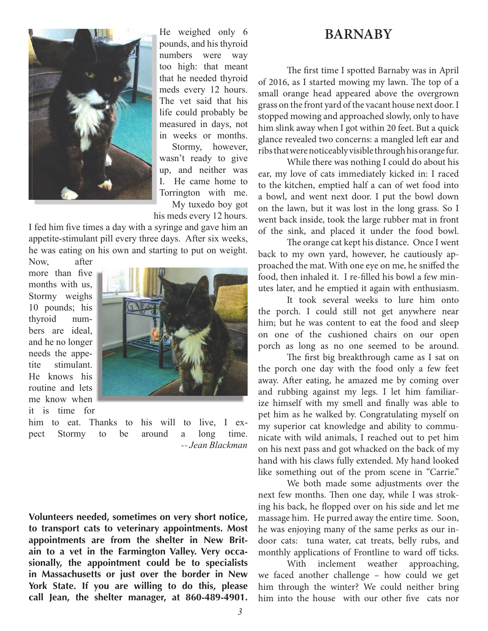#### **BARNABY**

The first time I spotted Barnaby was in April of 2016, as I started mowing my lawn. The top of a small orange head appeared above the overgrown grass on the front yard of the vacant house next door. I stopped mowing and approached slowly, only to have him slink away when I got within 20 feet. But a quick glance revealed two concerns: a mangled left ear and ribs that were noticeably visible through his orange fur.

 While there was nothing I could do about his ear, my love of cats immediately kicked in: I raced to the kitchen, emptied half a can of wet food into a bowl, and went next door. I put the bowl down on the lawn, but it was lost in the long grass. So I went back inside, took the large rubber mat in front of the sink, and placed it under the food bowl.

The orange cat kept his distance. Once I went back to my own yard, however, he cautiously approached the mat. With one eye on me, he sniffed the food, then inhaled it. I re-filled his bowl a few minutes later, and he emptied it again with enthusiasm.

 It took several weeks to lure him onto the porch. I could still not get anywhere near him; but he was content to eat the food and sleep on one of the cushioned chairs on our open porch as long as no one seemed to be around.

The first big breakthrough came as I sat on the porch one day with the food only a few feet away. After eating, he amazed me by coming over and rubbing against my legs. I let him familiarize himself with my smell and finally was able to pet him as he walked by. Congratulating myself on my superior cat knowledge and ability to communicate with wild animals, I reached out to pet him on his next pass and got whacked on the back of my hand with his claws fully extended. My hand looked like something out of the prom scene in "Carrie."

 We both made some adjustments over the next few months. Then one day, while I was stroking his back, he flopped over on his side and let me massage him. He purred away the entire time. Soon, he was enjoying many of the same perks as our indoor cats: tuna water, cat treats, belly rubs, and monthly applications of Frontline to ward off ticks.

 With inclement weather approaching, we faced another challenge – how could we get him through the winter? We could neither bring him into the house with our other five cats nor

He weighed only 6 pounds, and his thyroid numbers were way too high: that meant that he needed thyroid meds every 12 hours. The vet said that his life could probably be measured in days, not in weeks or months.

Stormy, however, wasn't ready to give up, and neither was I. He came home to Torrington with me. My tuxedo boy got

his meds every 12 hours.

I fed him five times a day with a syringe and gave him an appetite-stimulant pill every three days. After six weeks, he was eating on his own and starting to put on weight.

Now, after more than five months with us, Stormy weighs 10 pounds; his thyroid numbers are ideal, and he no longer needs the appetite stimulant. He knows his routine and lets me know when it is time for



him to eat. Thanks to his will to live, I expect Stormy to be around a long time. -- *Jean Blackman*

**Volunteers needed, sometimes on very short notice, to transport cats to veterinary appointments. Most appointments are from the shelter in New Britain to a vet in the Farmington Valley. Very occasionally, the appointment could be to specialists in Massachusetts or just over the border in New York State. If you are willing to do this, please call Jean, the shelter manager, at 860-489-4901.**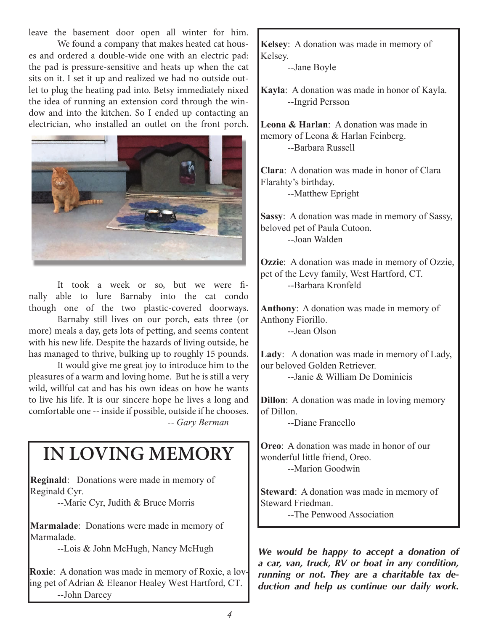leave the basement door open all winter for him.

We found a company that makes heated cat houses and ordered a double-wide one with an electric pad: the pad is pressure-sensitive and heats up when the cat sits on it. I set it up and realized we had no outside outlet to plug the heating pad into. Betsy immediately nixed the idea of running an extension cord through the window and into the kitchen. So I ended up contacting an electrician, who installed an outlet on the front porch.



It took a week or so, but we were finally able to lure Barnaby into the cat condo though one of the two plastic-covered doorways.

 Barnaby still lives on our porch, eats three (or more) meals a day, gets lots of petting, and seems content with his new life. Despite the hazards of living outside, he has managed to thrive, bulking up to roughly 15 pounds.

It would give me great joy to introduce him to the pleasures of a warm and loving home. But he is still a very wild, willful cat and has his own ideas on how he wants to live his life. It is our sincere hope he lives a long and comfortable one -- inside if possible, outside if he chooses. -- *Gary Berman*

# **IN LOVING MEMORY**

**Reginald**: Donations were made in memory of Reginald Cyr.

--Marie Cyr, Judith & Bruce Morris

**Marmalade**: Donations were made in memory of Marmalade

--Lois & John McHugh, Nancy McHugh

**Roxie**: A donation was made in memory of Roxie, a loving pet of Adrian & Eleanor Healey West Hartford, CT. --John Darcey

**Kelsey**: A donation was made in memory of Kelsey.

--Jane Boyle

**Kayla**: A donation was made in honor of Kayla. --Ingrid Persson

**Leona & Harlan**: A donation was made in memory of Leona & Harlan Feinberg. --Barbara Russell

**Clara:** A donation was made in honor of Clara Flarahty's birthday. --Matthew Epright

**Sassy**: A donation was made in memory of Sassy, beloved pet of Paula Cutoon. --Joan Walden

**Ozzie**: A donation was made in memory of Ozzie, pet of the Levy family, West Hartford, CT. --Barbara Kronfeld

Anthony: A donation was made in memory of Anthony Fiorillo. --Jean Olson

**Lady**: A donation was made in memory of Lady, our beloved Golden Retriever. --Janie & William De Dominicis

**Dillon**: A donation was made in loving memory of Dillon.

--Diane Francello

**Oreo:** A donation was made in honor of our wonderful little friend, Oreo. --Marion Goodwin

**Steward**: A donation was made in memory of Steward Friedman.

--The Penwood Association

*We would be happy to accept a donation of a car, van, truck, RV or boat in any condition, running or not. They are a charitable tax deduction and help us continue our daily work.*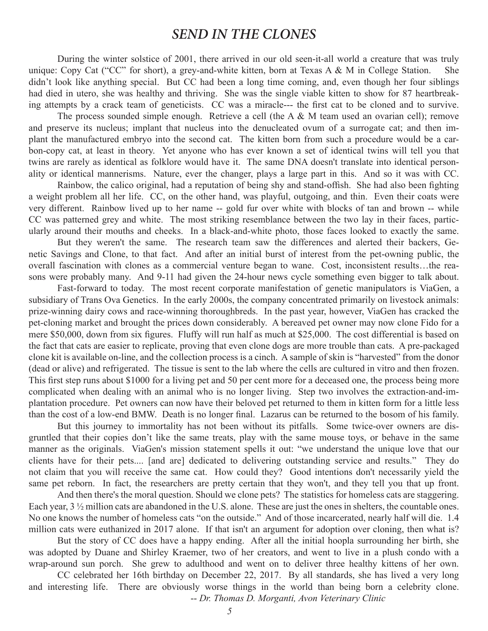## *SEND IN THE CLONES*

During the winter solstice of 2001, there arrived in our old seen-it-all world a creature that was truly unique: Copy Cat ("CC" for short), a grey-and-white kitten, born at Texas A & M in College Station. She didn't look like anything special. But CC had been a long time coming, and, even though her four siblings had died in utero, she was healthy and thriving. She was the single viable kitten to show for 87 heartbreaking attempts by a crack team of geneticists. CC was a miracle--- the first cat to be cloned and to survive.

The process sounded simple enough. Retrieve a cell (the A & M team used an ovarian cell); remove and preserve its nucleus; implant that nucleus into the denucleated ovum of a surrogate cat; and then implant the manufactured embryo into the second cat. The kitten born from such a procedure would be a carbon-copy cat, at least in theory. Yet anyone who has ever known a set of identical twins will tell you that twins are rarely as identical as folklore would have it. The same DNA doesn't translate into identical personality or identical mannerisms. Nature, ever the changer, plays a large part in this. And so it was with CC.

Rainbow, the calico original, had a reputation of being shy and stand-offish. She had also been fighting a weight problem all her life. CC, on the other hand, was playful, outgoing, and thin. Even their coats were very different. Rainbow lived up to her name -- gold fur over white with blocks of tan and brown -- while CC was patterned grey and white. The most striking resemblance between the two lay in their faces, particularly around their mouths and cheeks. In a black-and-white photo, those faces looked to exactly the same.

 But they weren't the same. The research team saw the differences and alerted their backers, Genetic Savings and Clone, to that fact. And after an initial burst of interest from the pet-owning public, the overall fascination with clones as a commercial venture began to wane. Cost, inconsistent results…the reasons were probably many. And 9-11 had given the 24-hour news cycle something even bigger to talk about.

 Fast-forward to today. The most recent corporate manifestation of genetic manipulators is ViaGen, a subsidiary of Trans Ova Genetics. In the early 2000s, the company concentrated primarily on livestock animals: prize-winning dairy cows and race-winning thoroughbreds. In the past year, however, ViaGen has cracked the pet-cloning market and brought the prices down considerably. A bereaved pet owner may now clone Fido for a mere \$50,000, down from six figures. Fluffy will run half as much at \$25,000. The cost differential is based on the fact that cats are easier to replicate, proving that even clone dogs are more trouble than cats. A pre-packaged clone kit is available on-line, and the collection process is a cinch. A sample of skin is "harvested" from the donor (dead or alive) and refrigerated. The tissue is sent to the lab where the cells are cultured in vitro and then frozen. This first step runs about \$1000 for a living pet and 50 per cent more for a deceased one, the process being more complicated when dealing with an animal who is no longer living. Step two involves the extraction-and-implantation procedure. Pet owners can now have their beloved pet returned to them in kitten form for a little less than the cost of a low-end BMW. Death is no longer final. Lazarus can be returned to the bosom of his family.

 But this journey to immortality has not been without its pitfalls. Some twice-over owners are disgruntled that their copies don't like the same treats, play with the same mouse toys, or behave in the same manner as the originals. ViaGen's mission statement spells it out: "we understand the unique love that our clients have for their pets.... [and are] dedicated to delivering outstanding service and results." They do not claim that you will receive the same cat. How could they? Good intentions don't necessarily yield the same pet reborn. In fact, the researchers are pretty certain that they won't, and they tell you that up front.

 And then there's the moral question. Should we clone pets? The statistics for homeless cats are staggering. Each year, 3  $\frac{1}{2}$  million cats are abandoned in the U.S. alone. These are just the ones in shelters, the countable ones. No one knows the number of homeless cats "on the outside." And of those incarcerated, nearly half will die. 1.4 million cats were euthanized in 2017 alone. If that isn't an argument for adoption over cloning, then what is?

 But the story of CC does have a happy ending. After all the initial hoopla surrounding her birth, she was adopted by Duane and Shirley Kraemer, two of her creators, and went to live in a plush condo with a wrap-around sun porch. She grew to adulthood and went on to deliver three healthy kittens of her own.

CC celebrated her 16th birthday on December 22, 2017. By all standards, she has lived a very long and interesting life. There are obviously worse things in the world than being born a celebrity clone. -- *Dr. Thomas D. Morganti, Avon Veterinary Clinic*